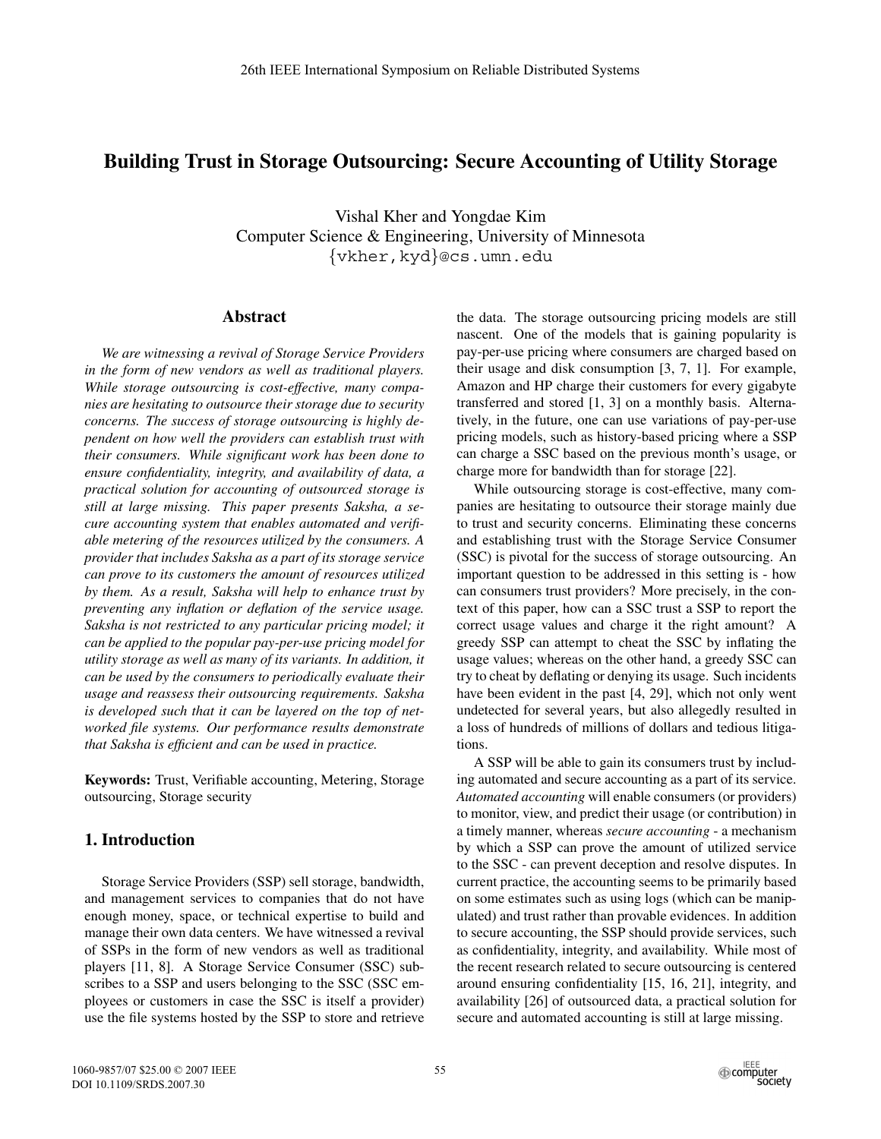# **Building Trust in Storage Outsourcing: Secure Accounting of Utility Storage**

Vishal Kher and Yongdae Kim Computer Science & Engineering, University of Minnesota {vkher,kyd}@cs.umn.edu

# **Abstract**

*We are witnessing a revival of Storage Service Providers in the form of new vendors as well as traditional players. While storage outsourcing is cost-effective, many companies are hesitating to outsource their storage due to security concerns. The success of storage outsourcing is highly dependent on how well the providers can establish trust with their consumers. While significant work has been done to ensure confidentiality, integrity, and availability of data, a practical solution for accounting of outsourced storage is still at large missing. This paper presents Saksha, a secure accounting system that enables automated and verifiable metering of the resources utilized by the consumers. A provider that includes Saksha as a part of its storage service can prove to its customers the amount of resources utilized by them. As a result, Saksha will help to enhance trust by preventing any inflation or deflation of the service usage. Saksha is not restricted to any particular pricing model; it can be applied to the popular pay-per-use pricing model for utility storage as well as many of its variants. In addition, it can be used by the consumers to periodically evaluate their usage and reassess their outsourcing requirements. Saksha is developed such that it can be layered on the top of networked file systems. Our performance results demonstrate that Saksha is efficient and can be used in practice.*

**Keywords:** Trust, Verifiable accounting, Metering, Storage outsourcing, Storage security

# **1. Introduction**

Storage Service Providers (SSP) sell storage, bandwidth, and management services to companies that do not have enough money, space, or technical expertise to build and manage their own data centers. We have witnessed a revival of SSPs in the form of new vendors as well as traditional players [11, 8]. A Storage Service Consumer (SSC) subscribes to a SSP and users belonging to the SSC (SSC employees or customers in case the SSC is itself a provider) use the file systems hosted by the SSP to store and retrieve the data. The storage outsourcing pricing models are still nascent. One of the models that is gaining popularity is pay-per-use pricing where consumers are charged based on their usage and disk consumption [3, 7, 1]. For example, Amazon and HP charge their customers for every gigabyte transferred and stored [1, 3] on a monthly basis. Alternatively, in the future, one can use variations of pay-per-use pricing models, such as history-based pricing where a SSP can charge a SSC based on the previous month's usage, or charge more for bandwidth than for storage [22].

While outsourcing storage is cost-effective, many companies are hesitating to outsource their storage mainly due to trust and security concerns. Eliminating these concerns and establishing trust with the Storage Service Consumer (SSC) is pivotal for the success of storage outsourcing. An important question to be addressed in this setting is - how can consumers trust providers? More precisely, in the context of this paper, how can a SSC trust a SSP to report the correct usage values and charge it the right amount? A greedy SSP can attempt to cheat the SSC by inflating the usage values; whereas on the other hand, a greedy SSC can try to cheat by deflating or denying its usage. Such incidents have been evident in the past [4, 29], which not only went undetected for several years, but also allegedly resulted in a loss of hundreds of millions of dollars and tedious litigations.

A SSP will be able to gain its consumers trust by including automated and secure accounting as a part of its service. *Automated accounting* will enable consumers (or providers) to monitor, view, and predict their usage (or contribution) in a timely manner, whereas *secure accounting* - a mechanism by which a SSP can prove the amount of utilized service to the SSC - can prevent deception and resolve disputes. In current practice, the accounting seems to be primarily based on some estimates such as using logs (which can be manipulated) and trust rather than provable evidences. In addition to secure accounting, the SSP should provide services, such as confidentiality, integrity, and availability. While most of the recent research related to secure outsourcing is centered around ensuring confidentiality [15, 16, 21], integrity, and availability [26] of outsourced data, a practical solution for secure and automated accounting is still at large missing.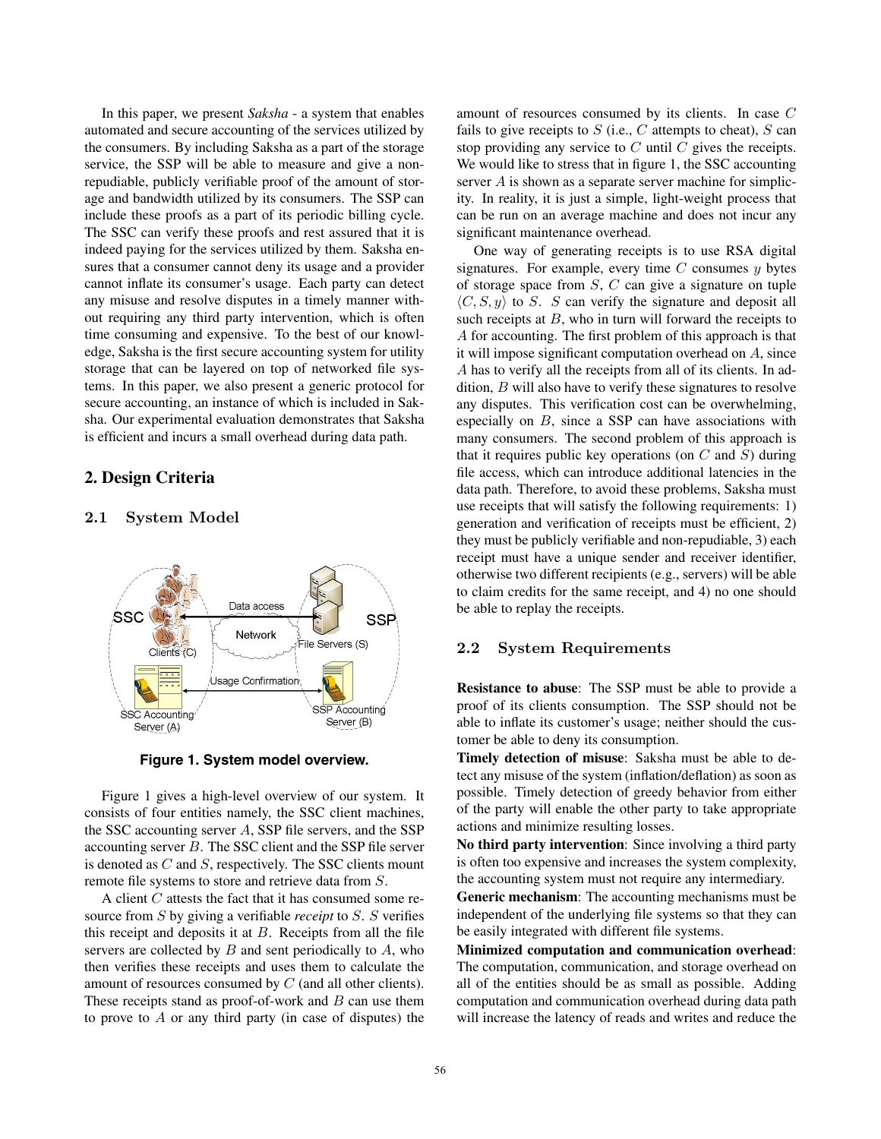In this paper, we present *Saksha* - a system that enables automated and secure accounting of the services utilized by the consumers. By including Saksha as a part of the storage service, the SSP will be able to measure and give a nonrepudiable, publicly verifiable proof of the amount of storage and bandwidth utilized by its consumers. The SSP can include these proofs as a part of its periodic billing cycle. The SSC can verify these proofs and rest assured that it is indeed paying for the services utilized by them. Saksha ensures that a consumer cannot deny its usage and a provider cannot inflate its consumer's usage. Each party can detect any misuse and resolve disputes in a timely manner without requiring any third party intervention, which is often time consuming and expensive. To the best of our knowledge, Saksha is the first secure accounting system for utility storage that can be layered on top of networked file systems. In this paper, we also present a generic protocol for secure accounting, an instance of which is included in Saksha. Our experimental evaluation demonstrates that Saksha is efficient and incurs a small overhead during data path.

# **2. Design Criteria**

#### **2.1 System Model**



**Figure 1. System model overview.**

Figure 1 gives a high-level overview of our system. It consists of four entities namely, the SSC client machines, the SSC accounting server *A*, SSP file servers, and the SSP accounting server *B*. The SSC client and the SSP file server is denoted as *C* and *S*, respectively. The SSC clients mount remote file systems to store and retrieve data from *S*.

A client *C* attests the fact that it has consumed some resource from *S* by giving a verifiable *receipt* to *S*. *S* verifies this receipt and deposits it at *B*. Receipts from all the file servers are collected by *B* and sent periodically to *A*, who then verifies these receipts and uses them to calculate the amount of resources consumed by *C* (and all other clients). These receipts stand as proof-of-work and *B* can use them to prove to *A* or any third party (in case of disputes) the amount of resources consumed by its clients. In case *C* fails to give receipts to *S* (i.e., *C* attempts to cheat), *S* can stop providing any service to *C* until *C* gives the receipts. We would like to stress that in figure 1, the SSC accounting server *A* is shown as a separate server machine for simplicity. In reality, it is just a simple, light-weight process that can be run on an average machine and does not incur any significant maintenance overhead.

One way of generating receipts is to use RSA digital signatures. For example, every time *C* consumes *y* bytes of storage space from *S*, *C* can give a signature on tuple  $\langle C, S, y \rangle$  to *S*. *S* can verify the signature and deposit all such receipts at *B*, who in turn will forward the receipts to *A* for accounting. The first problem of this approach is that it will impose significant computation overhead on *A*, since *A* has to verify all the receipts from all of its clients. In addition, *B* will also have to verify these signatures to resolve any disputes. This verification cost can be overwhelming, especially on *B*, since a SSP can have associations with many consumers. The second problem of this approach is that it requires public key operations (on *C* and *S*) during file access, which can introduce additional latencies in the data path. Therefore, to avoid these problems, Saksha must use receipts that will satisfy the following requirements: 1) generation and verification of receipts must be efficient, 2) they must be publicly verifiable and non-repudiable, 3) each receipt must have a unique sender and receiver identifier, otherwise two different recipients (e.g., servers) will be able to claim credits for the same receipt, and 4) no one should be able to replay the receipts.

#### **2.2 System Requirements**

**Resistance to abuse**: The SSP must be able to provide a proof of its clients consumption. The SSP should not be able to inflate its customer's usage; neither should the customer be able to deny its consumption.

**Timely detection of misuse**: Saksha must be able to detect any misuse of the system (inflation/deflation) as soon as possible. Timely detection of greedy behavior from either of the party will enable the other party to take appropriate actions and minimize resulting losses.

**No third party intervention**: Since involving a third party is often too expensive and increases the system complexity, the accounting system must not require any intermediary.

**Generic mechanism**: The accounting mechanisms must be independent of the underlying file systems so that they can be easily integrated with different file systems.

**Minimized computation and communication overhead**: The computation, communication, and storage overhead on all of the entities should be as small as possible. Adding computation and communication overhead during data path will increase the latency of reads and writes and reduce the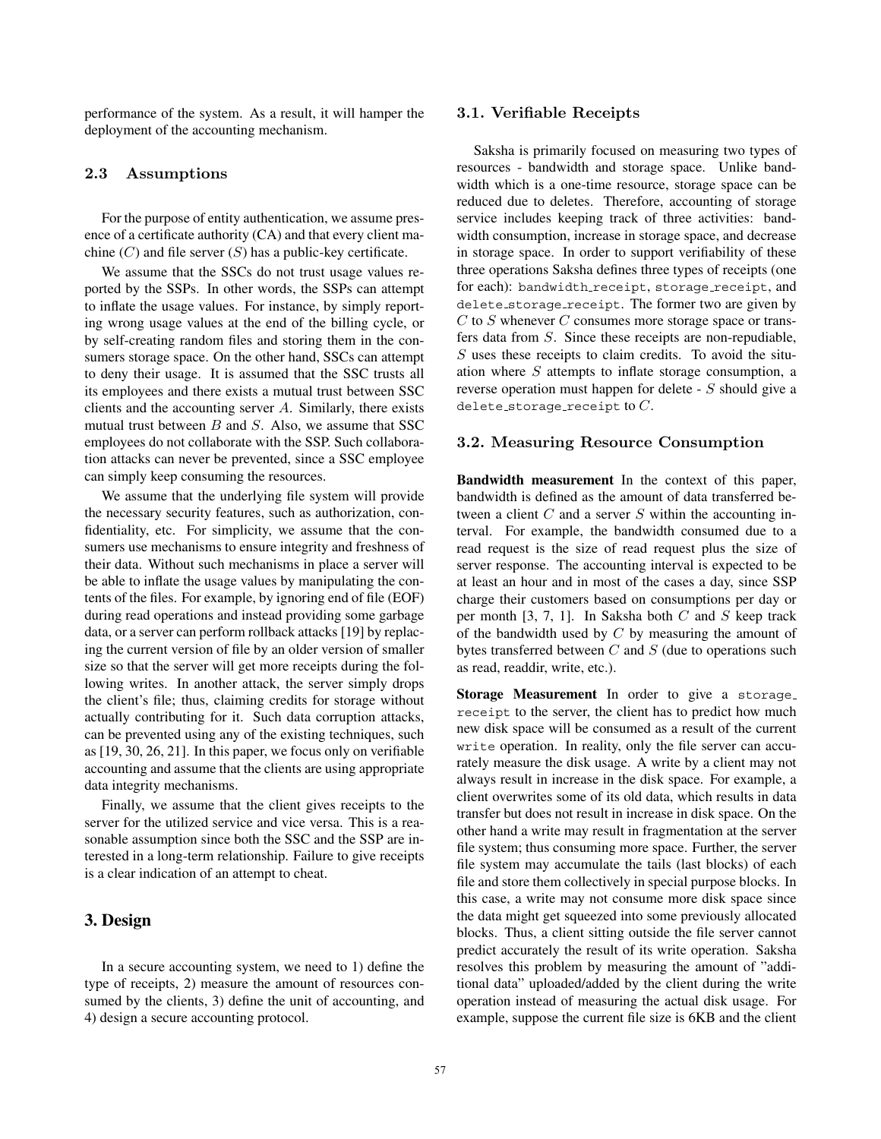performance of the system. As a result, it will hamper the deployment of the accounting mechanism.

## **2.3 Assumptions**

For the purpose of entity authentication, we assume presence of a certificate authority (CA) and that every client machine (*C*) and file server (*S*) has a public-key certificate.

We assume that the SSCs do not trust usage values reported by the SSPs. In other words, the SSPs can attempt to inflate the usage values. For instance, by simply reporting wrong usage values at the end of the billing cycle, or by self-creating random files and storing them in the consumers storage space. On the other hand, SSCs can attempt to deny their usage. It is assumed that the SSC trusts all its employees and there exists a mutual trust between SSC clients and the accounting server *A*. Similarly, there exists mutual trust between *B* and *S*. Also, we assume that SSC employees do not collaborate with the SSP. Such collaboration attacks can never be prevented, since a SSC employee can simply keep consuming the resources.

We assume that the underlying file system will provide the necessary security features, such as authorization, confidentiality, etc. For simplicity, we assume that the consumers use mechanisms to ensure integrity and freshness of their data. Without such mechanisms in place a server will be able to inflate the usage values by manipulating the contents of the files. For example, by ignoring end of file (EOF) during read operations and instead providing some garbage data, or a server can perform rollback attacks [19] by replacing the current version of file by an older version of smaller size so that the server will get more receipts during the following writes. In another attack, the server simply drops the client's file; thus, claiming credits for storage without actually contributing for it. Such data corruption attacks, can be prevented using any of the existing techniques, such as [19, 30, 26, 21]. In this paper, we focus only on verifiable accounting and assume that the clients are using appropriate data integrity mechanisms.

Finally, we assume that the client gives receipts to the server for the utilized service and vice versa. This is a reasonable assumption since both the SSC and the SSP are interested in a long-term relationship. Failure to give receipts is a clear indication of an attempt to cheat.

# **3. Design**

In a secure accounting system, we need to 1) define the type of receipts, 2) measure the amount of resources consumed by the clients, 3) define the unit of accounting, and 4) design a secure accounting protocol.

#### **3.1. Verifiable Receipts**

Saksha is primarily focused on measuring two types of resources - bandwidth and storage space. Unlike bandwidth which is a one-time resource, storage space can be reduced due to deletes. Therefore, accounting of storage service includes keeping track of three activities: bandwidth consumption, increase in storage space, and decrease in storage space. In order to support verifiability of these three operations Saksha defines three types of receipts (one for each): bandwidth receipt, storage receipt, and delete storage receipt. The former two are given by *C* to *S* whenever *C* consumes more storage space or transfers data from *S*. Since these receipts are non-repudiable, *S* uses these receipts to claim credits. To avoid the situation where *S* attempts to inflate storage consumption, a reverse operation must happen for delete - *S* should give a delete storage receipt to *C*.

### **3.2. Measuring Resource Consumption**

**Bandwidth measurement** In the context of this paper, bandwidth is defined as the amount of data transferred between a client *C* and a server *S* within the accounting interval. For example, the bandwidth consumed due to a read request is the size of read request plus the size of server response. The accounting interval is expected to be at least an hour and in most of the cases a day, since SSP charge their customers based on consumptions per day or per month [3, 7, 1]. In Saksha both *C* and *S* keep track of the bandwidth used by *C* by measuring the amount of bytes transferred between *C* and *S* (due to operations such as read, readdir, write, etc.).

**Storage Measurement** In order to give a storage receipt to the server, the client has to predict how much new disk space will be consumed as a result of the current write operation. In reality, only the file server can accurately measure the disk usage. A write by a client may not always result in increase in the disk space. For example, a client overwrites some of its old data, which results in data transfer but does not result in increase in disk space. On the other hand a write may result in fragmentation at the server file system; thus consuming more space. Further, the server file system may accumulate the tails (last blocks) of each file and store them collectively in special purpose blocks. In this case, a write may not consume more disk space since the data might get squeezed into some previously allocated blocks. Thus, a client sitting outside the file server cannot predict accurately the result of its write operation. Saksha resolves this problem by measuring the amount of "additional data" uploaded/added by the client during the write operation instead of measuring the actual disk usage. For example, suppose the current file size is 6KB and the client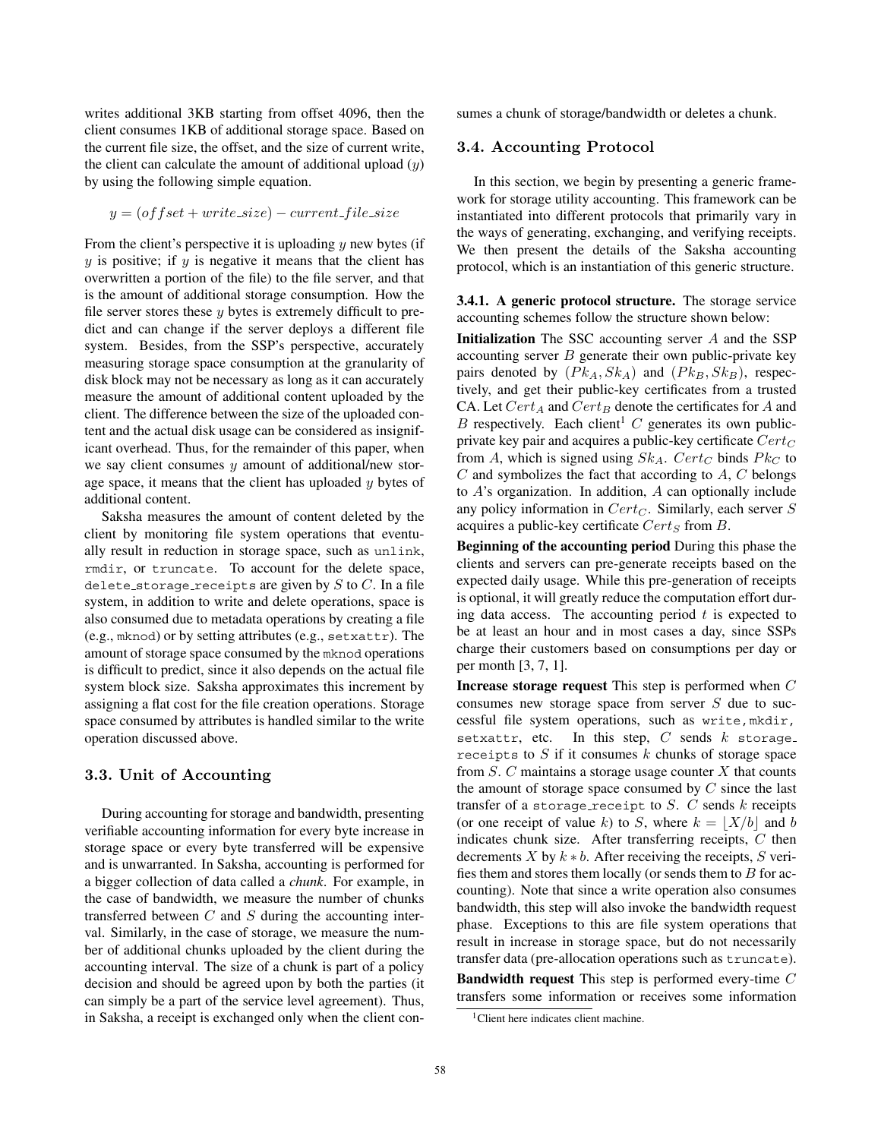writes additional 3KB starting from offset 4096, then the client consumes 1KB of additional storage space. Based on the current file size, the offset, and the size of current write, the client can calculate the amount of additional upload (*y*) by using the following simple equation.

$$
y = (offset + write\_size) - current\_file\_size
$$

From the client's perspective it is uploading *y* new bytes (if *y* is positive; if *y* is negative it means that the client has overwritten a portion of the file) to the file server, and that is the amount of additional storage consumption. How the file server stores these *y* bytes is extremely difficult to predict and can change if the server deploys a different file system. Besides, from the SSP's perspective, accurately measuring storage space consumption at the granularity of disk block may not be necessary as long as it can accurately measure the amount of additional content uploaded by the client. The difference between the size of the uploaded content and the actual disk usage can be considered as insignificant overhead. Thus, for the remainder of this paper, when we say client consumes *y* amount of additional/new storage space, it means that the client has uploaded *y* bytes of additional content.

Saksha measures the amount of content deleted by the client by monitoring file system operations that eventually result in reduction in storage space, such as unlink, rmdir, or truncate. To account for the delete space, delete storage receipts are given by *S* to *C*. In a file system, in addition to write and delete operations, space is also consumed due to metadata operations by creating a file (e.g., mknod) or by setting attributes (e.g., setxattr). The amount of storage space consumed by the mknod operations is difficult to predict, since it also depends on the actual file system block size. Saksha approximates this increment by assigning a flat cost for the file creation operations. Storage space consumed by attributes is handled similar to the write operation discussed above.

### **3.3. Unit of Accounting**

During accounting for storage and bandwidth, presenting verifiable accounting information for every byte increase in storage space or every byte transferred will be expensive and is unwarranted. In Saksha, accounting is performed for a bigger collection of data called a *chunk*. For example, in the case of bandwidth, we measure the number of chunks transferred between *C* and *S* during the accounting interval. Similarly, in the case of storage, we measure the number of additional chunks uploaded by the client during the accounting interval. The size of a chunk is part of a policy decision and should be agreed upon by both the parties (it can simply be a part of the service level agreement). Thus, in Saksha, a receipt is exchanged only when the client consumes a chunk of storage/bandwidth or deletes a chunk.

#### **3.4. Accounting Protocol**

In this section, we begin by presenting a generic framework for storage utility accounting. This framework can be instantiated into different protocols that primarily vary in the ways of generating, exchanging, and verifying receipts. We then present the details of the Saksha accounting protocol, which is an instantiation of this generic structure.

**3.4.1. A generic protocol structure.** The storage service accounting schemes follow the structure shown below:

**Initialization** The SSC accounting server *A* and the SSP accounting server *B* generate their own public-private key pairs denoted by  $(Pk_A, Sk_A)$  and  $(Pk_B, Sk_B)$ , respectively, and get their public-key certificates from a trusted CA. Let *Cert<sup>A</sup>* and *Cert<sup>B</sup>* denote the certificates for *A* and *B* respectively. Each client<sup>1</sup>  $C$  generates its own publicprivate key pair and acquires a public-key certificate *Cert<sup>C</sup>* from *A*, which is signed using  $Sk<sub>A</sub>$ .  $Cert<sub>C</sub>$  binds  $Pk<sub>C</sub>$  to *C* and symbolizes the fact that according to *A*, *C* belongs to *A*'s organization. In addition, *A* can optionally include any policy information in *Cert<sup>C</sup>* . Similarly, each server *S* acquires a public-key certificate *Cert<sup>S</sup>* from *B*.

**Beginning of the accounting period** During this phase the clients and servers can pre-generate receipts based on the expected daily usage. While this pre-generation of receipts is optional, it will greatly reduce the computation effort during data access. The accounting period *t* is expected to be at least an hour and in most cases a day, since SSPs charge their customers based on consumptions per day or per month [3, 7, 1].

**Increase storage request** This step is performed when *C* consumes new storage space from server *S* due to successful file system operations, such as write,mkdir, setxattr, etc. In this step, *C* sends *k* storage receipts to *S* if it consumes *k* chunks of storage space from *S*. *C* maintains a storage usage counter *X* that counts the amount of storage space consumed by *C* since the last transfer of a storage receipt to *S*. *C* sends *k* receipts (or one receipt of value *k*) to *S*, where  $k = |X/b|$  and *b* indicates chunk size. After transferring receipts, *C* then decrements *X* by *k* ∗ *b*. After receiving the receipts, *S* verifies them and stores them locally (or sends them to *B* for accounting). Note that since a write operation also consumes bandwidth, this step will also invoke the bandwidth request phase. Exceptions to this are file system operations that result in increase in storage space, but do not necessarily transfer data (pre-allocation operations such as truncate).

**Bandwidth request** This step is performed every-time *C* transfers some information or receives some information

<sup>&</sup>lt;sup>1</sup>Client here indicates client machine.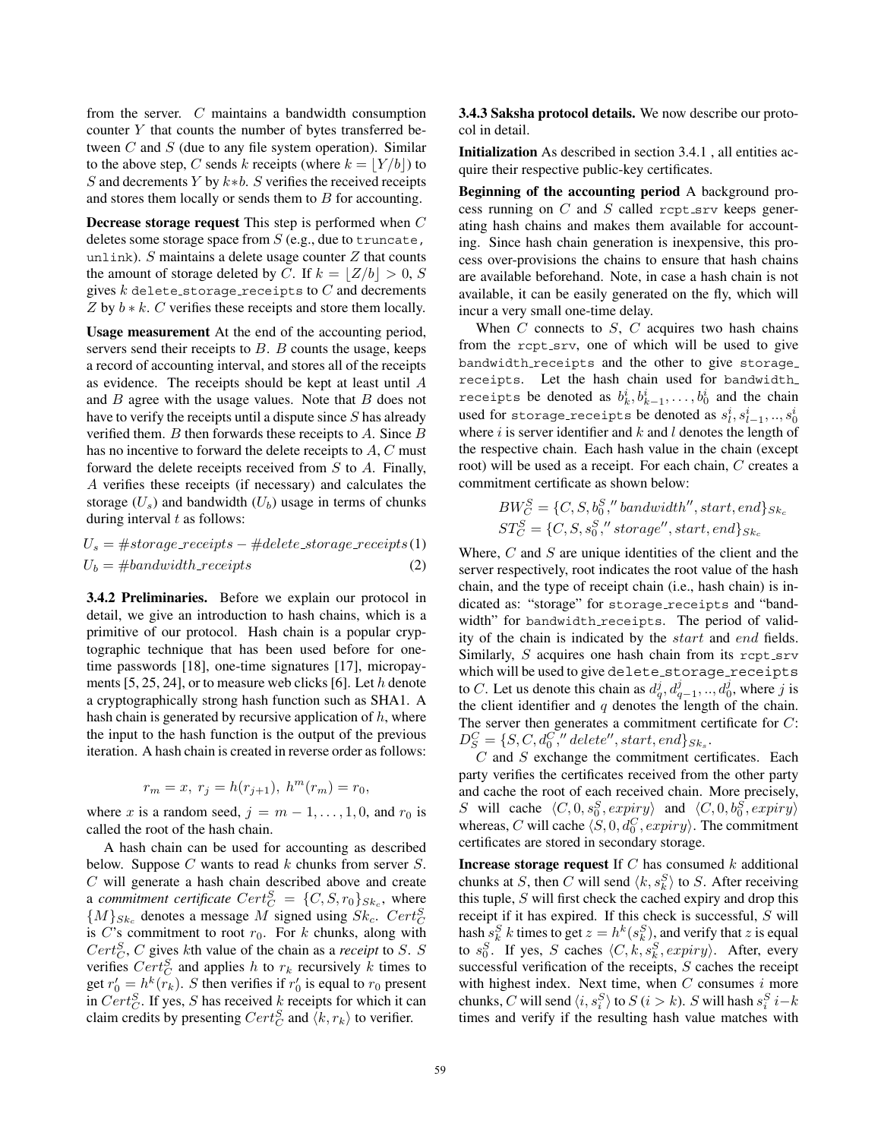from the server. *C* maintains a bandwidth consumption counter *Y* that counts the number of bytes transferred between *C* and *S* (due to any file system operation). Similar to the above step, *C* sends *k* receipts (where  $k = |Y/b|$ ) to *S* and decrements *Y* by *k*∗*b*. *S* verifies the received receipts and stores them locally or sends them to *B* for accounting.

**Decrease storage request** This step is performed when *C* deletes some storage space from *S* (e.g., due to truncate, unlink).  $S$  maintains a delete usage counter  $Z$  that counts the amount of storage deleted by *C*. If  $k = \lfloor Z/b \rfloor > 0$ , *S* gives *k* delete storage receipts to *C* and decrements *Z* by *b* ∗ *k*. *C* verifies these receipts and store them locally.

**Usage measurement** At the end of the accounting period, servers send their receipts to *B*. *B* counts the usage, keeps a record of accounting interval, and stores all of the receipts as evidence. The receipts should be kept at least until *A* and *B* agree with the usage values. Note that *B* does not have to verify the receipts until a dispute since *S* has already verified them. *B* then forwards these receipts to *A*. Since *B* has no incentive to forward the delete receipts to *A*, *C* must forward the delete receipts received from *S* to *A*. Finally, *A* verifies these receipts (if necessary) and calculates the storage  $(U_s)$  and bandwidth  $(U_b)$  usage in terms of chunks during interval *t* as follows:

$$
U_s = # storage-receipts - #delete-storage_receipts(1)
$$
  

$$
U_b = #bandwidth_receipts
$$
 (2)

**3.4.2 Preliminaries.** Before we explain our protocol in detail, we give an introduction to hash chains, which is a primitive of our protocol. Hash chain is a popular cryptographic technique that has been used before for onetime passwords [18], one-time signatures [17], micropayments [5, 25, 24], or to measure web clicks [6]. Let *h* denote a cryptographically strong hash function such as SHA1. A hash chain is generated by recursive application of *h*, where the input to the hash function is the output of the previous iteration. A hash chain is created in reverse order as follows:

$$
r_m = x, r_j = h(r_{j+1}), h^m(r_m) = r_0,
$$

where *x* is a random seed,  $j = m - 1, \ldots, 1, 0$ , and  $r_0$  is called the root of the hash chain.

A hash chain can be used for accounting as described below. Suppose *C* wants to read *k* chunks from server *S*. *C* will generate a hash chain described above and create a *commitment certificate*  $Cert_C^S = {C, S, r_0}_{Sk_c}$ , where  ${M}_{Sk_c}$  denotes a message *M* signed using  $Sk_c$ .  $Cert_C^S$ is  $C$ 's commitment to root  $r_0$ . For  $k$  chunks, along with  $Cert_C^S$ , *C* gives *k*th value of the chain as a *receipt* to *S*. *S* verifies  $Cert_C^S$  and applies *h* to  $r_k$  recursively  $\hat{k}$  times to get  $r'_0 = h^k(r_k)$ . *S* then verifies if  $r'_0$  is equal to  $r_0$  present in  $Cert^S_C$ . If yes, *S* has received *k* receipts for which it can claim credits by presenting  $Cert_C^S$  and  $\langle k, r_k \rangle$  to verifier.

**3.4.3 Saksha protocol details.** We now describe our protocol in detail.

**Initialization** As described in section 3.4.1, all entities acquire their respective public-key certificates.

**Beginning of the accounting period** A background process running on *C* and *S* called rcpt srv keeps generating hash chains and makes them available for accounting. Since hash chain generation is inexpensive, this process over-provisions the chains to ensure that hash chains are available beforehand. Note, in case a hash chain is not available, it can be easily generated on the fly, which will incur a very small one-time delay.

When *C* connects to *S*, *C* acquires two hash chains from the rcpt srv, one of which will be used to give bandwidth receipts and the other to give storage receipts. Let the hash chain used for bandwidth receipts be denoted as  $b_k^i, b_{k-1}^i, \ldots, b_0^i$  and the chain used for storage receipts be denoted as  $s_l^i, s_{l-1}^i, ..., s_0^i$ where *i* is server identifier and *k* and *l* denotes the length of the respective chain. Each hash value in the chain (except root) will be used as a receipt. For each chain, *C* creates a commitment certificate as shown below:

$$
BW_C^S = \{C, S, b_0^S, "bandwidth", start, end\}_{Sk_c}
$$
  

$$
ST_C^S = \{C, S, s_0^S, "storage", start, end\}_{Sk_c}
$$

Where, *C* and *S* are unique identities of the client and the server respectively, root indicates the root value of the hash chain, and the type of receipt chain (i.e., hash chain) is indicated as: "storage" for storage receipts and "bandwidth" for bandwidth receipts. The period of validity of the chain is indicated by the *start* and *end* fields. Similarly, *S* acquires one hash chain from its rept\_srv which will be used to give delete storage receipts to *C*. Let us denote this chain as  $d_q^j$ ,  $d_{q-1}^j$ , ...,  $d_0^j$ , where *j* is the client identifier and *q* denotes the length of the chain. The server then generates a commitment certificate for *C*:  $D_S^C = \{S, C, d_0^C, d\theta$  *delete<sup>n</sup>*, *start, end*}*Sk<sub>s</sub>*.

*C* and *S* exchange the commitment certificates. Each party verifies the certificates received from the other party and cache the root of each received chain. More precisely, *S* will cache  $\langle C, 0, s_0^S, \exp\{iry}\rangle$  and  $\langle C, 0, b_0^S, \exp\{iry\}\rangle$ whereas, *C* will cache  $\langle S, 0, d_0^C, \expiry \rangle$ . The commitment certificates are stored in secondary storage.

**Increase storage request** If *C* has consumed *k* additional chunks at *S*, then *C* will send  $\langle k, s_k^S \rangle$  to *S*. After receiving this tuple, *S* will first check the cached expiry and drop this receipt if it has expired. If this check is successful, *S* will hash  $s_k^S$  *k* times to get  $z = h^k(s_k^S)$ , and verify that *z* is equal to  $s_0^S$ . If yes, *S* caches  $\langle C, k, s_k^S, \exp -\rangle$ . After, every successful verification of the receipts, *S* caches the receipt with highest index. Next time, when *C* consumes *i* more chunks, C will send  $\langle i, s_i^S \rangle$  to  $S(i > k)$ . *S* will hash  $s_i^S(i - k)$ times and verify if the resulting hash value matches with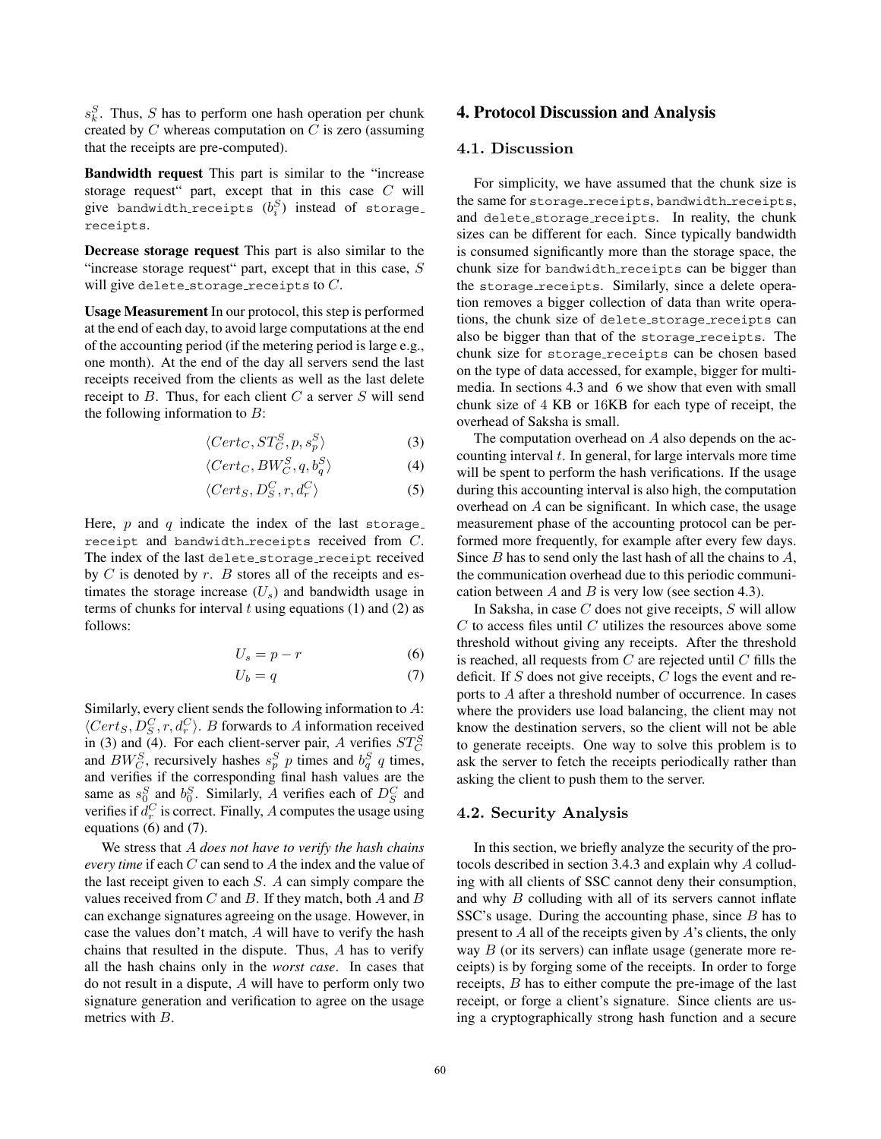$s_k^S$ . Thus, *S* has to perform one hash operation per chunk created by *C* whereas computation on *C* is zero (assuming that the receipts are pre-computed).

**Bandwidth request** This part is similar to the "increase storage request" part, except that in this case *C* will give bandwidth receipts  $(b_i^S)$  instead of storage receipts.

**Decrease storage request** This part is also similar to the "increase storage request" part, except that in this case, *S* will give delete storage receipts to *C*.

**Usage Measurement** In our protocol, this step is performed at the end of each day, to avoid large computations at the end of the accounting period (if the metering period is large e.g., one month). At the end of the day all servers send the last receipts received from the clients as well as the last delete receipt to *B*. Thus, for each client *C* a server *S* will send the following information to *B*:

$$
\langle Cert_C, ST_C^S, p, s_p^S \rangle \tag{3}
$$

$$
\langle Cert_C, BW_C^S, q, b_q^S \rangle \tag{4}
$$

$$
\langle Cert_S, D_S^C, r, d_r^C \rangle \tag{5}
$$

Here,  $p$  and  $q$  indicate the index of the last storage receipt and bandwidth receipts received from *C*. The index of the last delete storage receipt received by *C* is denoted by *r*. *B* stores all of the receipts and estimates the storage increase  $(U_s)$  and bandwidth usage in terms of chunks for interval *t* using equations (1) and (2) as follows:

$$
U_s = p - r \tag{6}
$$

$$
U_b = q \tag{7}
$$

Similarly, every client sends the following information to *A*:  $\langle Cert_S, D_S^C, r, d_r^C \rangle$ . *B* forwards to *A* information received in (3) and (4). For each client-server pair, *A* verifies  $ST_C^S$ and  $BW_C^S$ , recursively hashes  $s_p^S$  *p* times and  $b_q^S$  *q* times, and verifies if the corresponding final hash values are the same as  $s_0^S$  and  $b_0^S$ . Similarly, *A* verifies each of  $D_S^C$  and verifies if  $d_r^C$  is correct. Finally, *A* computes the usage using equations (6) and (7).

We stress that *A does not have to verify the hash chains every time* if each *C* can send to *A* the index and the value of the last receipt given to each *S*. *A* can simply compare the values received from *C* and *B*. If they match, both *A* and *B* can exchange signatures agreeing on the usage. However, in case the values don't match, *A* will have to verify the hash chains that resulted in the dispute. Thus, *A* has to verify all the hash chains only in the *worst case*. In cases that do not result in a dispute, *A* will have to perform only two signature generation and verification to agree on the usage metrics with *B*.

### **4. Protocol Discussion and Analysis**

### **4.1. Discussion**

For simplicity, we have assumed that the chunk size is the same for storage receipts, bandwidth receipts, and delete storage receipts. In reality, the chunk sizes can be different for each. Since typically bandwidth is consumed significantly more than the storage space, the chunk size for bandwidth receipts can be bigger than the storage receipts. Similarly, since a delete operation removes a bigger collection of data than write operations, the chunk size of delete storage receipts can also be bigger than that of the storage receipts. The chunk size for storage receipts can be chosen based on the type of data accessed, for example, bigger for multimedia. In sections 4.3 and 6 we show that even with small chunk size of 4 KB or 16KB for each type of receipt, the overhead of Saksha is small.

The computation overhead on *A* also depends on the accounting interval *t*. In general, for large intervals more time will be spent to perform the hash verifications. If the usage during this accounting interval is also high, the computation overhead on *A* can be significant. In which case, the usage measurement phase of the accounting protocol can be performed more frequently, for example after every few days. Since *B* has to send only the last hash of all the chains to *A*, the communication overhead due to this periodic communication between *A* and *B* is very low (see section 4.3).

In Saksha, in case *C* does not give receipts, *S* will allow *C* to access files until *C* utilizes the resources above some threshold without giving any receipts. After the threshold is reached, all requests from *C* are rejected until *C* fills the deficit. If *S* does not give receipts, *C* logs the event and reports to *A* after a threshold number of occurrence. In cases where the providers use load balancing, the client may not know the destination servers, so the client will not be able to generate receipts. One way to solve this problem is to ask the server to fetch the receipts periodically rather than asking the client to push them to the server.

#### **4.2. Security Analysis**

In this section, we briefly analyze the security of the protocols described in section 3.4.3 and explain why *A* colluding with all clients of SSC cannot deny their consumption, and why *B* colluding with all of its servers cannot inflate SSC's usage. During the accounting phase, since *B* has to present to *A* all of the receipts given by *A*'s clients, the only way *B* (or its servers) can inflate usage (generate more receipts) is by forging some of the receipts. In order to forge receipts, *B* has to either compute the pre-image of the last receipt, or forge a client's signature. Since clients are using a cryptographically strong hash function and a secure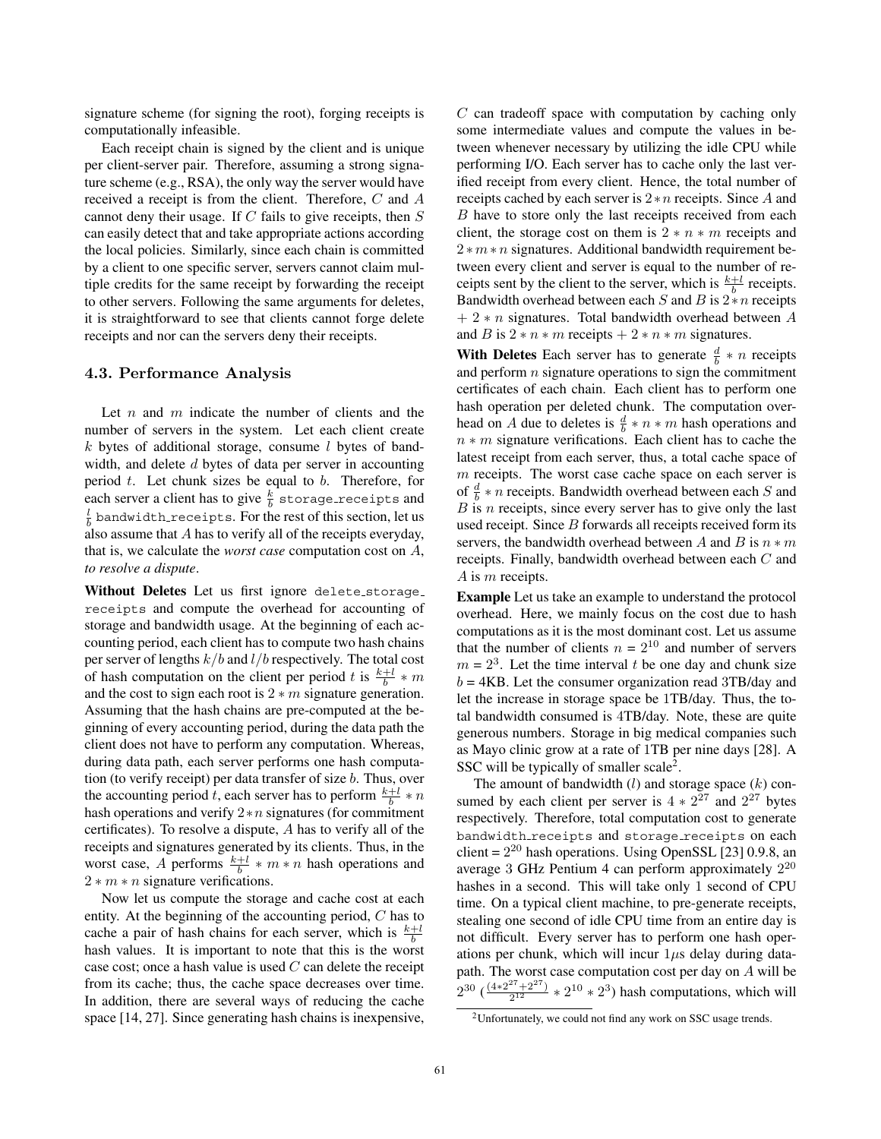signature scheme (for signing the root), forging receipts is computationally infeasible.

Each receipt chain is signed by the client and is unique per client-server pair. Therefore, assuming a strong signature scheme (e.g., RSA), the only way the server would have received a receipt is from the client. Therefore, *C* and *A* cannot deny their usage. If *C* fails to give receipts, then *S* can easily detect that and take appropriate actions according the local policies. Similarly, since each chain is committed by a client to one specific server, servers cannot claim multiple credits for the same receipt by forwarding the receipt to other servers. Following the same arguments for deletes, it is straightforward to see that clients cannot forge delete receipts and nor can the servers deny their receipts.

#### **4.3. Performance Analysis**

Let *n* and *m* indicate the number of clients and the number of servers in the system. Let each client create *k* bytes of additional storage, consume *l* bytes of bandwidth, and delete *d* bytes of data per server in accounting period *t*. Let chunk sizes be equal to *b*. Therefore, for each server a client has to give  $\frac{k}{b}$  storage receipts and  $\frac{l}{b}$  bandwidth\_receipts. For the rest of this section, let us also assume that *A* has to verify all of the receipts everyday, that is, we calculate the *worst case* computation cost on *A*, *to resolve a dispute*.

**Without Deletes** Let us first ignore delete storage receipts and compute the overhead for accounting of storage and bandwidth usage. At the beginning of each accounting period, each client has to compute two hash chains per server of lengths *k/b* and *l/b* respectively. The total cost of hash computation on the client per period *t* is  $\frac{k+l}{b} * m$ and the cost to sign each root is 2 ∗ *m* signature generation. Assuming that the hash chains are pre-computed at the beginning of every accounting period, during the data path the client does not have to perform any computation. Whereas, during data path, each server performs one hash computation (to verify receipt) per data transfer of size *b*. Thus, over the accounting period *t*, each server has to perform  $\frac{k+l}{b} * n$ hash operations and verify 2∗*n* signatures (for commitment certificates). To resolve a dispute, *A* has to verify all of the receipts and signatures generated by its clients. Thus, in the worst case, *A* performs  $\frac{k+l}{b} * m * n$  hash operations and 2 ∗ *m* ∗ *n* signature verifications.

Now let us compute the storage and cache cost at each entity. At the beginning of the accounting period, *C* has to cache a pair of hash chains for each server, which is  $\frac{k+l}{b}$ hash values. It is important to note that this is the worst case cost; once a hash value is used *C* can delete the receipt from its cache; thus, the cache space decreases over time. In addition, there are several ways of reducing the cache space [14, 27]. Since generating hash chains is inexpensive,

*C* can tradeoff space with computation by caching only some intermediate values and compute the values in between whenever necessary by utilizing the idle CPU while performing I/O. Each server has to cache only the last verified receipt from every client. Hence, the total number of receipts cached by each server is 2∗*n* receipts. Since *A* and *B* have to store only the last receipts received from each client, the storage cost on them is 2 ∗ *n* ∗ *m* receipts and 2 ∗ *m* ∗*n* signatures. Additional bandwidth requirement between every client and server is equal to the number of receipts sent by the client to the server, which is  $\frac{k+l}{b}$  receipts. Bandwidth overhead between each *S* and *B* is 2∗*n* receipts + 2 ∗ *n* signatures. Total bandwidth overhead between *A* and *B* is  $2 * n * m$  receipts  $+ 2 * n * m$  signatures.

**With Deletes** Each server has to generate  $\frac{d}{b} * n$  receipts and perform *n* signature operations to sign the commitment certificates of each chain. Each client has to perform one hash operation per deleted chunk. The computation overhead on *A* due to deletes is  $\frac{d}{b} * n * m$  hash operations and *n* ∗ *m* signature verifications. Each client has to cache the latest receipt from each server, thus, a total cache space of *m* receipts. The worst case cache space on each server is of  $\frac{d}{b} * n$  receipts. Bandwidth overhead between each *S* and *B* is *n* receipts, since every server has to give only the last used receipt. Since *B* forwards all receipts received form its servers, the bandwidth overhead between *A* and *B* is  $n * m$ receipts. Finally, bandwidth overhead between each *C* and *A* is *m* receipts.

**Example** Let us take an example to understand the protocol overhead. Here, we mainly focus on the cost due to hash computations as it is the most dominant cost. Let us assume that the number of clients  $n = 2^{10}$  and number of servers  $m = 2<sup>3</sup>$ . Let the time interval *t* be one day and chunk size  $b = 4KB$ . Let the consumer organization read 3TB/day and let the increase in storage space be 1TB/day. Thus, the total bandwidth consumed is 4TB/day. Note, these are quite generous numbers. Storage in big medical companies such as Mayo clinic grow at a rate of 1TB per nine days [28]. A SSC will be typically of smaller scale<sup>2</sup>.

The amount of bandwidth (*l*) and storage space (*k*) consumed by each client per server is  $4 \times 2^{27}$  and  $2^{27}$  bytes respectively. Therefore, total computation cost to generate bandwidth receipts and storage receipts on each client =  $2^{20}$  hash operations. Using OpenSSL [23] 0.9.8, an average 3 GHz Pentium 4 can perform approximately  $2^{20}$ hashes in a second. This will take only 1 second of CPU time. On a typical client machine, to pre-generate receipts, stealing one second of idle CPU time from an entire day is not difficult. Every server has to perform one hash operations per chunk, which will incur 1*µ*s delay during datapath. The worst case computation cost per day on *A* will be  $2^{30} \left( \frac{(4 \times 2^{27} + 2^{27})}{2^{12}} \times 2^{10} \times 2^3 \right)$  hash computations, which will

<sup>2</sup>Unfortunately, we could not find any work on SSC usage trends.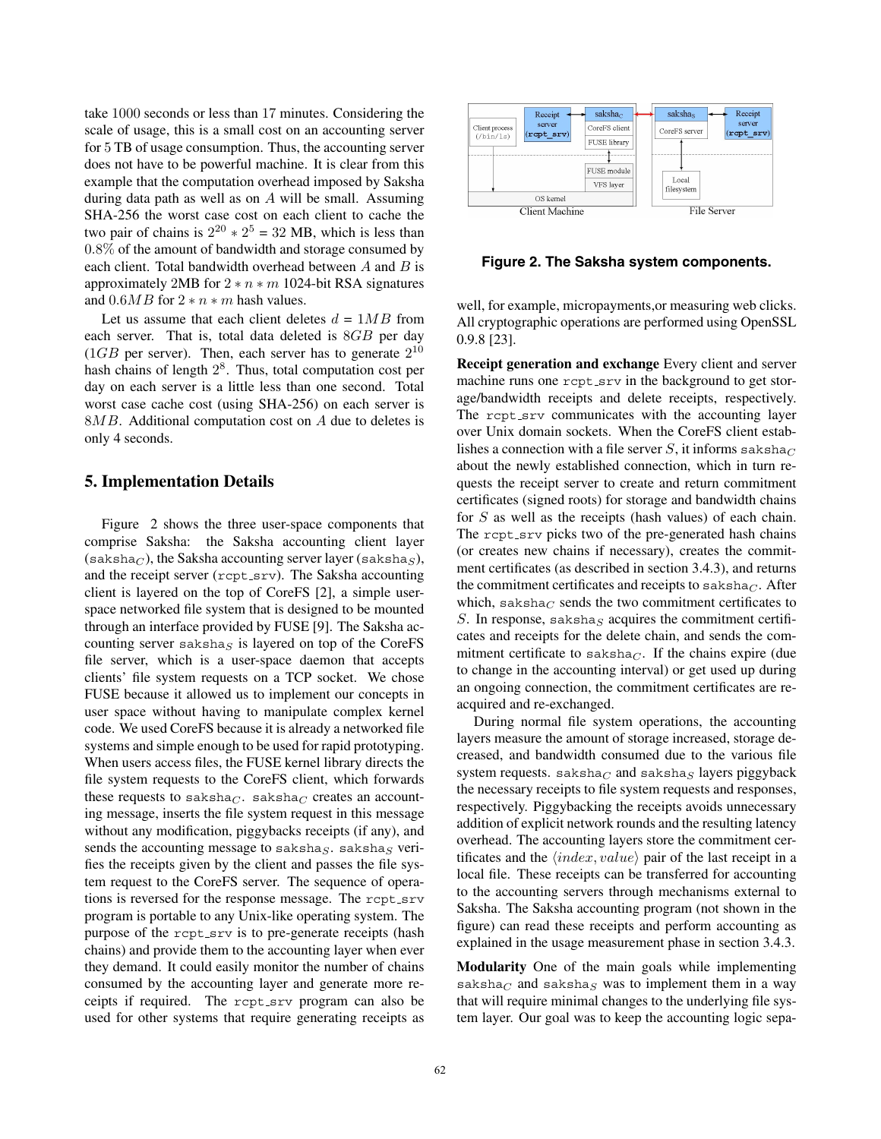take 1000 seconds or less than 17 minutes. Considering the scale of usage, this is a small cost on an accounting server for 5 TB of usage consumption. Thus, the accounting server does not have to be powerful machine. It is clear from this example that the computation overhead imposed by Saksha during data path as well as on *A* will be small. Assuming SHA-256 the worst case cost on each client to cache the two pair of chains is  $2^{20} * 2^5 = 32$  MB, which is less than 0*.*8% of the amount of bandwidth and storage consumed by each client. Total bandwidth overhead between *A* and *B* is approximately 2MB for 2 ∗ *n* ∗ *m* 1024-bit RSA signatures and  $0.6MB$  for  $2*n*m$  hash values.

Let us assume that each client deletes  $d = 1MB$  from each server. That is, total data deleted is 8*GB* per day  $(1GB)$  per server). Then, each server has to generate  $2^{10}$ hash chains of length  $2<sup>8</sup>$ . Thus, total computation cost per day on each server is a little less than one second. Total worst case cache cost (using SHA-256) on each server is 8*MB*. Additional computation cost on *A* due to deletes is only 4 seconds.

#### **5. Implementation Details**

Figure 2 shows the three user-space components that comprise Saksha: the Saksha accounting client layer  $(saksha<sub>C</sub>)$ , the Saksha accounting server layer (saksha<sub>S</sub>), and the receipt server (rcpt\_srv). The Saksha accounting client is layered on the top of CoreFS [2], a simple userspace networked file system that is designed to be mounted through an interface provided by FUSE [9]. The Saksha accounting server saksha<sub>S</sub> is layered on top of the CoreFS file server, which is a user-space daemon that accepts clients' file system requests on a TCP socket. We chose FUSE because it allowed us to implement our concepts in user space without having to manipulate complex kernel code. We used CoreFS because it is already a networked file systems and simple enough to be used for rapid prototyping. When users access files, the FUSE kernel library directs the file system requests to the CoreFS client, which forwards these requests to saksha<sub> $C$ </sub>. saksha $_C$  creates an accounting message, inserts the file system request in this message without any modification, piggybacks receipts (if any), and sends the accounting message to saksha<sub>S</sub>. saksha<sub>S</sub> verifies the receipts given by the client and passes the file system request to the CoreFS server. The sequence of operations is reversed for the response message. The rcpt\_srv program is portable to any Unix-like operating system. The purpose of the rcpt srv is to pre-generate receipts (hash chains) and provide them to the accounting layer when ever they demand. It could easily monitor the number of chains consumed by the accounting layer and generate more receipts if required. The rcpt srv program can also be used for other systems that require generating receipts as



**Figure 2. The Saksha system components.**

well, for example, micropayments,or measuring web clicks. All cryptographic operations are performed using OpenSSL 0.9.8 [23].

**Receipt generation and exchange** Every client and server machine runs one rcpt srv in the background to get storage/bandwidth receipts and delete receipts, respectively. The rcpt\_srv communicates with the accounting layer over Unix domain sockets. When the CoreFS client establishes a connection with a file server *S*, it informs saksha $C$ about the newly established connection, which in turn requests the receipt server to create and return commitment certificates (signed roots) for storage and bandwidth chains for *S* as well as the receipts (hash values) of each chain. The rcpt srv picks two of the pre-generated hash chains (or creates new chains if necessary), creates the commitment certificates (as described in section 3.4.3), and returns the commitment certificates and receipts to saksha<sub>C</sub>. After which, saksha<sub>C</sub> sends the two commitment certificates to *S*. In response, saksha<sub>S</sub> acquires the commitment certificates and receipts for the delete chain, and sends the commitment certificate to saksha<sub> $C$ </sub>. If the chains expire (due to change in the accounting interval) or get used up during an ongoing connection, the commitment certificates are reacquired and re-exchanged.

During normal file system operations, the accounting layers measure the amount of storage increased, storage decreased, and bandwidth consumed due to the various file system requests. saksha<sub>C</sub> and saksha<sub>S</sub> layers piggyback the necessary receipts to file system requests and responses, respectively. Piggybacking the receipts avoids unnecessary addition of explicit network rounds and the resulting latency overhead. The accounting layers store the commitment certificates and the  $\langle index, value \rangle$  pair of the last receipt in a local file. These receipts can be transferred for accounting to the accounting servers through mechanisms external to Saksha. The Saksha accounting program (not shown in the figure) can read these receipts and perform accounting as explained in the usage measurement phase in section 3.4.3.

**Modularity** One of the main goals while implementing saksha $_C$  and saksha $_S$  was to implement them in a way that will require minimal changes to the underlying file system layer. Our goal was to keep the accounting logic sepa-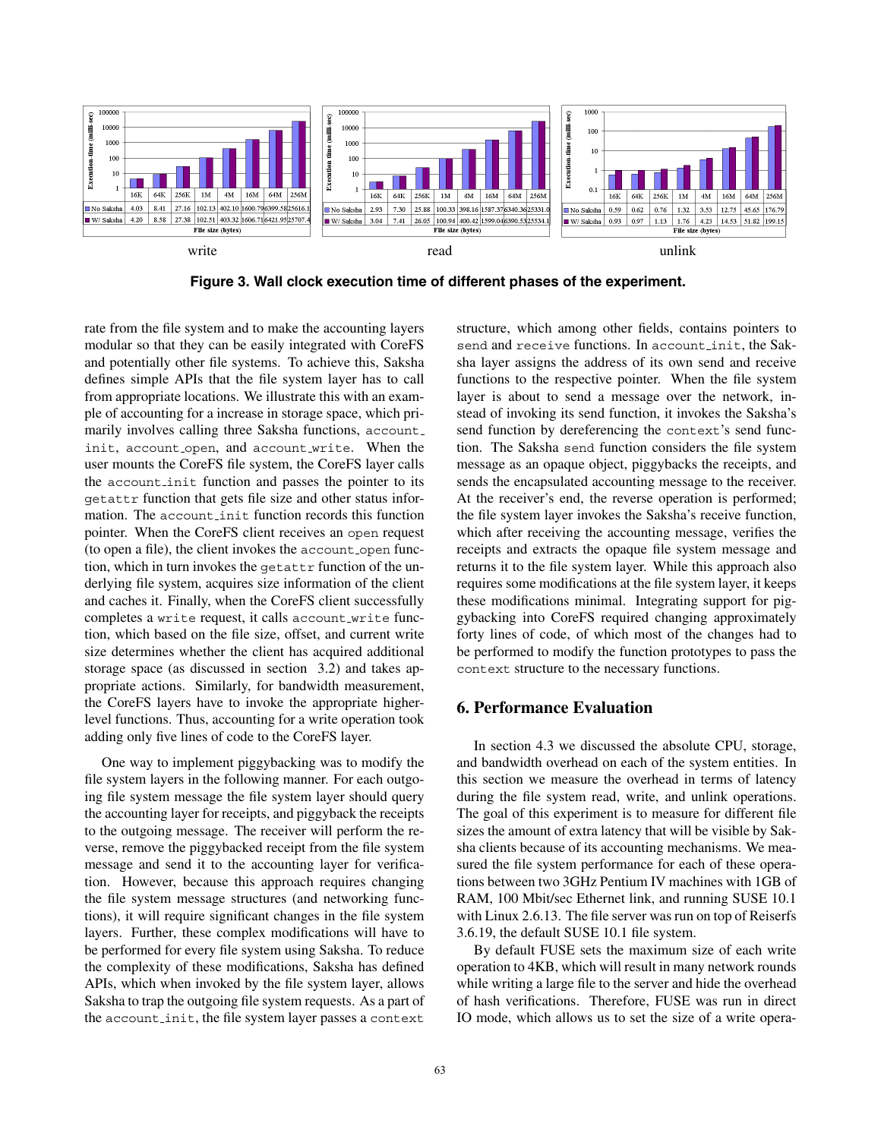

**Figure 3. Wall clock execution time of different phases of the experiment.**

rate from the file system and to make the accounting layers modular so that they can be easily integrated with CoreFS and potentially other file systems. To achieve this, Saksha defines simple APIs that the file system layer has to call from appropriate locations. We illustrate this with an example of accounting for a increase in storage space, which primarily involves calling three Saksha functions, account init, account open, and account write. When the user mounts the CoreFS file system, the CoreFS layer calls the account init function and passes the pointer to its getattr function that gets file size and other status information. The account init function records this function pointer. When the CoreFS client receives an open request (to open a file), the client invokes the account open function, which in turn invokes the getattr function of the underlying file system, acquires size information of the client and caches it. Finally, when the CoreFS client successfully completes a write request, it calls account write function, which based on the file size, offset, and current write size determines whether the client has acquired additional storage space (as discussed in section 3.2) and takes appropriate actions. Similarly, for bandwidth measurement, the CoreFS layers have to invoke the appropriate higherlevel functions. Thus, accounting for a write operation took adding only five lines of code to the CoreFS layer.

One way to implement piggybacking was to modify the file system layers in the following manner. For each outgoing file system message the file system layer should query the accounting layer for receipts, and piggyback the receipts to the outgoing message. The receiver will perform the reverse, remove the piggybacked receipt from the file system message and send it to the accounting layer for verification. However, because this approach requires changing the file system message structures (and networking functions), it will require significant changes in the file system layers. Further, these complex modifications will have to be performed for every file system using Saksha. To reduce the complexity of these modifications, Saksha has defined APIs, which when invoked by the file system layer, allows Saksha to trap the outgoing file system requests. As a part of the account init, the file system layer passes a context

structure, which among other fields, contains pointers to send and receive functions. In account init, the Saksha layer assigns the address of its own send and receive functions to the respective pointer. When the file system layer is about to send a message over the network, instead of invoking its send function, it invokes the Saksha's send function by dereferencing the context's send function. The Saksha send function considers the file system message as an opaque object, piggybacks the receipts, and sends the encapsulated accounting message to the receiver. At the receiver's end, the reverse operation is performed; the file system layer invokes the Saksha's receive function, which after receiving the accounting message, verifies the receipts and extracts the opaque file system message and returns it to the file system layer. While this approach also requires some modifications at the file system layer, it keeps these modifications minimal. Integrating support for piggybacking into CoreFS required changing approximately forty lines of code, of which most of the changes had to be performed to modify the function prototypes to pass the context structure to the necessary functions.

### **6. Performance Evaluation**

In section 4.3 we discussed the absolute CPU, storage, and bandwidth overhead on each of the system entities. In this section we measure the overhead in terms of latency during the file system read, write, and unlink operations. The goal of this experiment is to measure for different file sizes the amount of extra latency that will be visible by Saksha clients because of its accounting mechanisms. We measured the file system performance for each of these operations between two 3GHz Pentium IV machines with 1GB of RAM, 100 Mbit/sec Ethernet link, and running SUSE 10.1 with Linux 2.6.13. The file server was run on top of Reiserfs 3.6.19, the default SUSE 10.1 file system.

By default FUSE sets the maximum size of each write operation to 4KB, which will result in many network rounds while writing a large file to the server and hide the overhead of hash verifications. Therefore, FUSE was run in direct IO mode, which allows us to set the size of a write opera-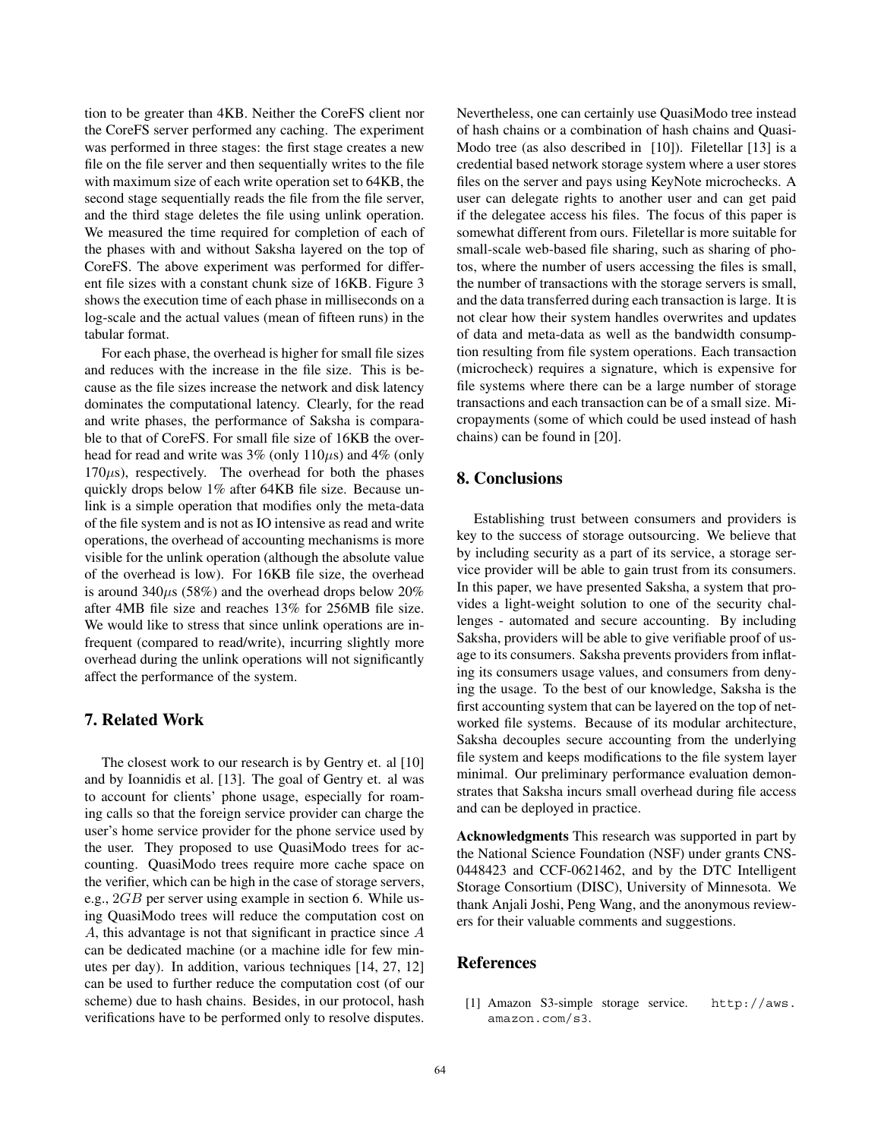tion to be greater than 4KB. Neither the CoreFS client nor the CoreFS server performed any caching. The experiment was performed in three stages: the first stage creates a new file on the file server and then sequentially writes to the file with maximum size of each write operation set to 64KB, the second stage sequentially reads the file from the file server, and the third stage deletes the file using unlink operation. We measured the time required for completion of each of the phases with and without Saksha layered on the top of CoreFS. The above experiment was performed for different file sizes with a constant chunk size of 16KB. Figure 3 shows the execution time of each phase in milliseconds on a log-scale and the actual values (mean of fifteen runs) in the tabular format.

For each phase, the overhead is higher for small file sizes and reduces with the increase in the file size. This is because as the file sizes increase the network and disk latency dominates the computational latency. Clearly, for the read and write phases, the performance of Saksha is comparable to that of CoreFS. For small file size of 16KB the overhead for read and write was 3% (only 110*µ*s) and 4% (only  $170\mu s$ , respectively. The overhead for both the phases quickly drops below 1% after 64KB file size. Because unlink is a simple operation that modifies only the meta-data of the file system and is not as IO intensive as read and write operations, the overhead of accounting mechanisms is more visible for the unlink operation (although the absolute value of the overhead is low). For 16KB file size, the overhead is around 340*µ*s (58%) and the overhead drops below 20% after 4MB file size and reaches 13% for 256MB file size. We would like to stress that since unlink operations are infrequent (compared to read/write), incurring slightly more overhead during the unlink operations will not significantly affect the performance of the system.

### **7. Related Work**

The closest work to our research is by Gentry et. al [10] and by Ioannidis et al. [13]. The goal of Gentry et. al was to account for clients' phone usage, especially for roaming calls so that the foreign service provider can charge the user's home service provider for the phone service used by the user. They proposed to use QuasiModo trees for accounting. QuasiModo trees require more cache space on the verifier, which can be high in the case of storage servers, e.g., 2*GB* per server using example in section 6. While using QuasiModo trees will reduce the computation cost on *A*, this advantage is not that significant in practice since *A* can be dedicated machine (or a machine idle for few minutes per day). In addition, various techniques [14, 27, 12] can be used to further reduce the computation cost (of our scheme) due to hash chains. Besides, in our protocol, hash verifications have to be performed only to resolve disputes.

Nevertheless, one can certainly use QuasiModo tree instead of hash chains or a combination of hash chains and Quasi-Modo tree (as also described in [10]). Filetellar [13] is a credential based network storage system where a user stores files on the server and pays using KeyNote microchecks. A user can delegate rights to another user and can get paid if the delegatee access his files. The focus of this paper is somewhat different from ours. Filetellar is more suitable for small-scale web-based file sharing, such as sharing of photos, where the number of users accessing the files is small, the number of transactions with the storage servers is small, and the data transferred during each transaction is large. It is not clear how their system handles overwrites and updates of data and meta-data as well as the bandwidth consumption resulting from file system operations. Each transaction (microcheck) requires a signature, which is expensive for file systems where there can be a large number of storage transactions and each transaction can be of a small size. Micropayments (some of which could be used instead of hash chains) can be found in [20].

### **8. Conclusions**

Establishing trust between consumers and providers is key to the success of storage outsourcing. We believe that by including security as a part of its service, a storage service provider will be able to gain trust from its consumers. In this paper, we have presented Saksha, a system that provides a light-weight solution to one of the security challenges - automated and secure accounting. By including Saksha, providers will be able to give verifiable proof of usage to its consumers. Saksha prevents providers from inflating its consumers usage values, and consumers from denying the usage. To the best of our knowledge, Saksha is the first accounting system that can be layered on the top of networked file systems. Because of its modular architecture, Saksha decouples secure accounting from the underlying file system and keeps modifications to the file system layer minimal. Our preliminary performance evaluation demonstrates that Saksha incurs small overhead during file access and can be deployed in practice.

**Acknowledgments** This research was supported in part by the National Science Foundation (NSF) under grants CNS-0448423 and CCF-0621462, and by the DTC Intelligent Storage Consortium (DISC), University of Minnesota. We thank Anjali Joshi, Peng Wang, and the anonymous reviewers for their valuable comments and suggestions.

#### **References**

[1] Amazon S3-simple storage service. http://aws. amazon.com/s3.